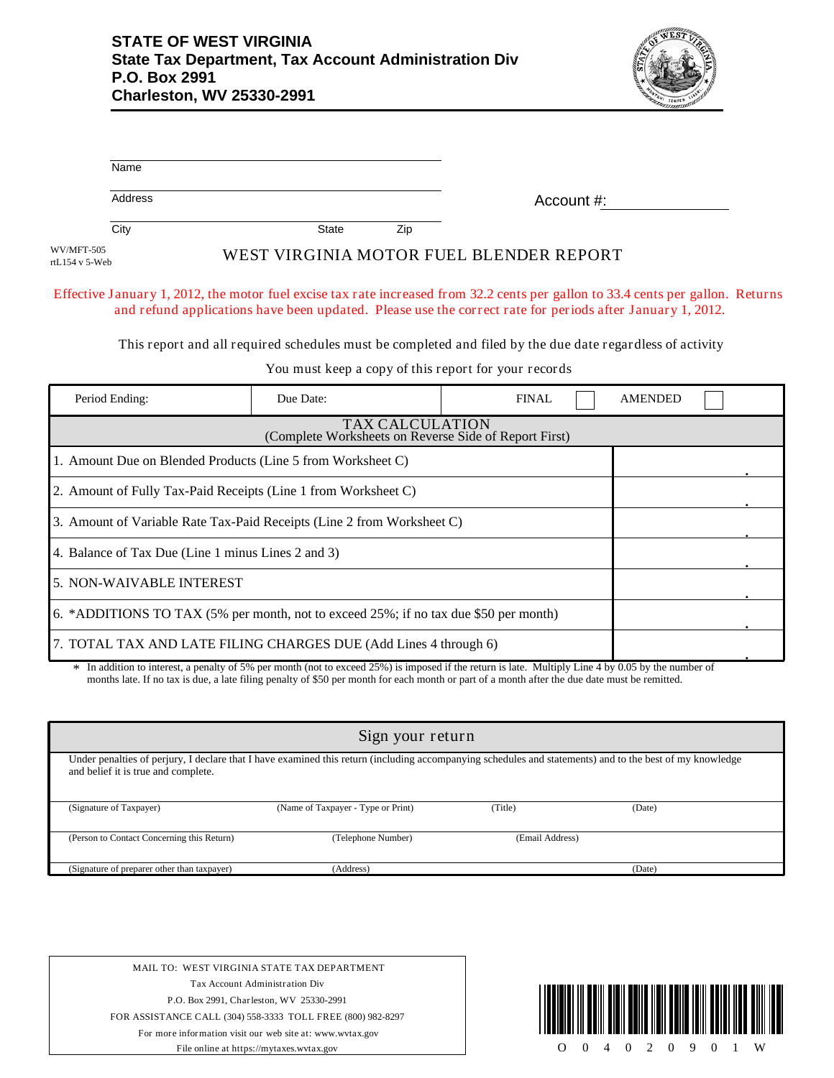

|                              | Name                                                                                                      |           |                        |                                                                                                                                                                                                                                               |  |  |
|------------------------------|-----------------------------------------------------------------------------------------------------------|-----------|------------------------|-----------------------------------------------------------------------------------------------------------------------------------------------------------------------------------------------------------------------------------------------|--|--|
|                              | Address                                                                                                   |           |                        | Account $\#$ :                                                                                                                                                                                                                                |  |  |
|                              | City                                                                                                      | State     | Zip                    |                                                                                                                                                                                                                                               |  |  |
| WV/MFT-505<br>rtL154 v 5-Web |                                                                                                           |           |                        | WEST VIRGINIA MOTOR FUEL BLENDER REPORT                                                                                                                                                                                                       |  |  |
|                              |                                                                                                           |           |                        | Effective January 1, 2012, the motor fuel excise tax rate increased from 32.2 cents per gallon to 33.4 cents per gallon. Returns<br>and refund applications have been updated. Please use the correct rate for periods after January 1, 2012. |  |  |
|                              | This report and all required schedules must be completed and filed by the due date regardless of activity |           |                        |                                                                                                                                                                                                                                               |  |  |
|                              | You must keep a copy of this report for your records                                                      |           |                        |                                                                                                                                                                                                                                               |  |  |
|                              | Period Ending:                                                                                            | Due Date: |                        | <b>AMENDED</b><br><b>FINAL</b>                                                                                                                                                                                                                |  |  |
|                              |                                                                                                           |           | <b>TAX CALCULATION</b> |                                                                                                                                                                                                                                               |  |  |

| Period Ending:                                                                       | Due Date: | FINAL | <b>AMENDED</b> |  |  |
|--------------------------------------------------------------------------------------|-----------|-------|----------------|--|--|
| <b>TAX CALCULATION</b><br>(Complete Worksheets on Reverse Side of Report First)      |           |       |                |  |  |
| 1. Amount Due on Blended Products (Line 5 from Worksheet C)                          |           |       |                |  |  |
| 2. Amount of Fully Tax-Paid Receipts (Line 1 from Worksheet C)                       |           |       |                |  |  |
| 3. Amount of Variable Rate Tax-Paid Receipts (Line 2 from Worksheet C)               |           |       |                |  |  |
| 4. Balance of Tax Due (Line 1 minus Lines 2 and 3)                                   |           |       |                |  |  |
| 5. NON-WAIVABLE INTEREST                                                             |           |       |                |  |  |
| 6. *ADDITIONS TO TAX (5% per month, not to exceed 25%; if no tax due \$50 per month) |           |       |                |  |  |
| 7. TOTAL TAX AND LATE FILING CHARGES DUE (Add Lines 4 through 6)                     |           |       |                |  |  |

In addition to interest, a penalty of 5% per month (not to exceed 25%) is imposed if the return is late. Multiply Line 4 by 0.05 by the number of months late. If no tax is due, a late filing penalty of \$50 per month for each month or part of a month after the due date must be remitted.

| Sign your return                                                                                                                                                                                |                                    |                 |        |  |  |  |
|-------------------------------------------------------------------------------------------------------------------------------------------------------------------------------------------------|------------------------------------|-----------------|--------|--|--|--|
| Under penalties of perjury, I declare that I have examined this return (including accompanying schedules and statements) and to the best of my knowledge<br>and belief it is true and complete. |                                    |                 |        |  |  |  |
| (Signature of Taxpayer)                                                                                                                                                                         | (Name of Taxpayer - Type or Print) | (Title)         | (Date) |  |  |  |
| (Person to Contact Concerning this Return)                                                                                                                                                      | (Telephone Number)                 | (Email Address) |        |  |  |  |
| (Signature of preparer other than taxpayer)                                                                                                                                                     | (Address)                          |                 | (Date) |  |  |  |

MAIL TO: WEST VIRGINIA STATE TAX DEPARTMENT Tax Account Administration Div P.O. Box 2991, Charleston, WV 25330-2991 FOR ASSISTANCE CALL (304) 558-3333 TOLL FREE (800) 982-8297 For more information visit our web site at: www.wvtax.gov File online at https://mytaxes.wvtax.gov